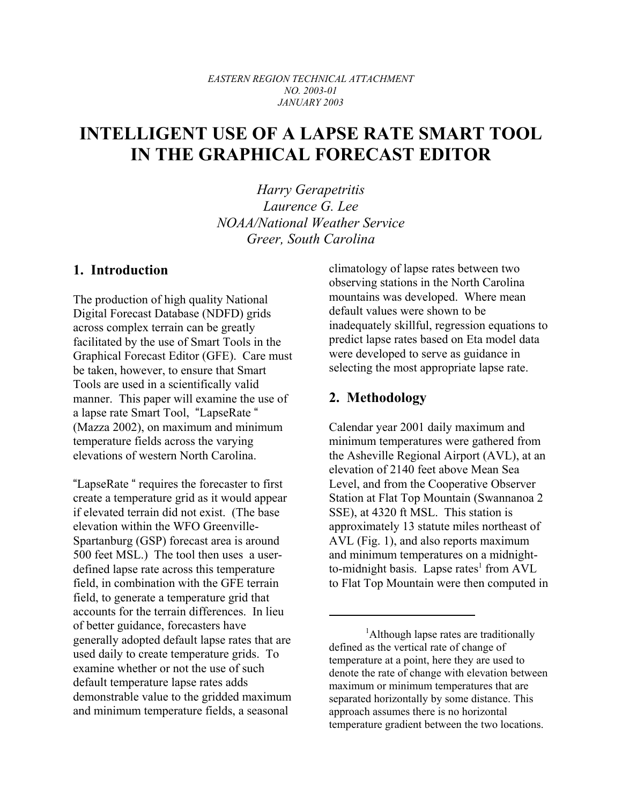#### *EASTERN REGION TECHNICAL ATTACHMENT NO. 2003-01 JANUARY 2003*

# **INTELLIGENT USE OF A LAPSE RATE SMART TOOL IN THE GRAPHICAL FORECAST EDITOR**

*Harry Gerapetritis Laurence G. Lee NOAA/National Weather Service Greer, South Carolina*

### **1. Introduction**

The production of high quality National Digital Forecast Database (NDFD) grids across complex terrain can be greatly facilitated by the use of Smart Tools in the Graphical Forecast Editor (GFE). Care must be taken, however, to ensure that Smart Tools are used in a scientifically valid manner. This paper will examine the use of a lapse rate Smart Tool, "LapseRate " (Mazza 2002), on maximum and minimum temperature fields across the varying elevations of western North Carolina.

"LapseRate " requires the forecaster to first create a temperature grid as it would appear if elevated terrain did not exist. (The base elevation within the WFO Greenville-Spartanburg (GSP) forecast area is around 500 feet MSL.) The tool then uses a userdefined lapse rate across this temperature field, in combination with the GFE terrain field, to generate a temperature grid that accounts for the terrain differences. In lieu of better guidance, forecasters have generally adopted default lapse rates that are used daily to create temperature grids. To examine whether or not the use of such default temperature lapse rates adds demonstrable value to the gridded maximum and minimum temperature fields, a seasonal

climatology of lapse rates between two observing stations in the North Carolina mountains was developed. Where mean default values were shown to be inadequately skillful, regression equations to predict lapse rates based on Eta model data were developed to serve as guidance in selecting the most appropriate lapse rate.

## **2. Methodology**

Calendar year 2001 daily maximum and minimum temperatures were gathered from the Asheville Regional Airport (AVL), at an elevation of 2140 feet above Mean Sea Level, and from the Cooperative Observer Station at Flat Top Mountain (Swannanoa 2 SSE), at 4320 ft MSL. This station is approximately 13 statute miles northeast of AVL (Fig. 1), and also reports maximum and minimum temperatures on a midnightto-midnight basis. Lapse rates<sup>1</sup> from AVL to Flat Top Mountain were then computed in

<sup>&</sup>lt;sup>1</sup>Although lapse rates are traditionally defined as the vertical rate of change of temperature at a point, here they are used to denote the rate of change with elevation between maximum or minimum temperatures that are separated horizontally by some distance. This approach assumes there is no horizontal temperature gradient between the two locations.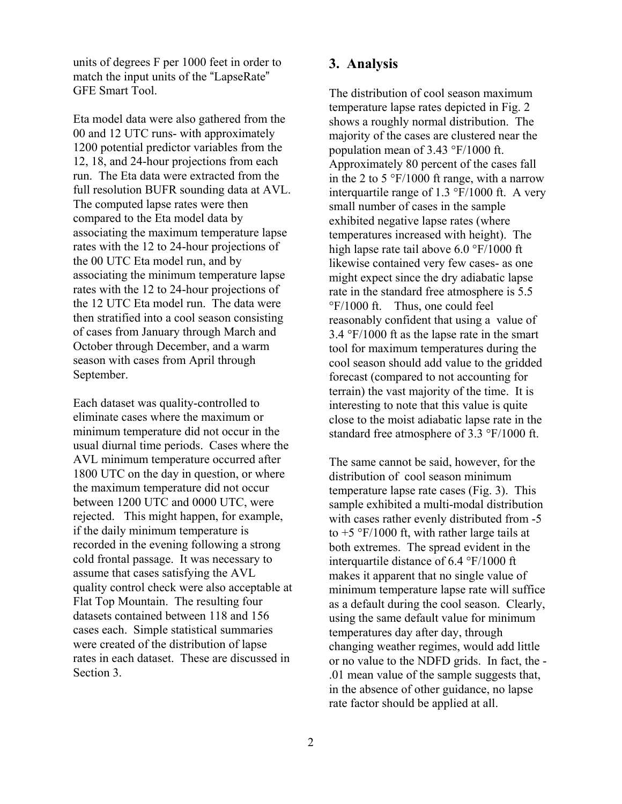units of degrees F per 1000 feet in order to match the input units of the "LapseRate" GFE Smart Tool.

Eta model data were also gathered from the 00 and 12 UTC runs- with approximately 1200 potential predictor variables from the 12, 18, and 24-hour projections from each run. The Eta data were extracted from the full resolution BUFR sounding data at AVL. The computed lapse rates were then compared to the Eta model data by associating the maximum temperature lapse rates with the 12 to 24-hour projections of the 00 UTC Eta model run, and by associating the minimum temperature lapse rates with the 12 to 24-hour projections of the 12 UTC Eta model run. The data were then stratified into a cool season consisting of cases from January through March and October through December, and a warm season with cases from April through September.

Each dataset was quality-controlled to eliminate cases where the maximum or minimum temperature did not occur in the usual diurnal time periods. Cases where the AVL minimum temperature occurred after 1800 UTC on the day in question, or where the maximum temperature did not occur between 1200 UTC and 0000 UTC, were rejected. This might happen, for example, if the daily minimum temperature is recorded in the evening following a strong cold frontal passage. It was necessary to assume that cases satisfying the AVL quality control check were also acceptable at Flat Top Mountain. The resulting four datasets contained between 118 and 156 cases each. Simple statistical summaries were created of the distribution of lapse rates in each dataset. These are discussed in Section 3.

#### **3. Analysis**

The distribution of cool season maximum temperature lapse rates depicted in Fig. 2 shows a roughly normal distribution. The majority of the cases are clustered near the population mean of 3.43 °F/1000 ft. Approximately 80 percent of the cases fall in the 2 to 5  $\degree$ F/1000 ft range, with a narrow interquartile range of 1.3 °F/1000 ft. A very small number of cases in the sample exhibited negative lapse rates (where temperatures increased with height). The high lapse rate tail above 6.0 °F/1000 ft likewise contained very few cases- as one might expect since the dry adiabatic lapse rate in the standard free atmosphere is 5.5 °F/1000 ft. Thus, one could feel reasonably confident that using a value of 3.4 °F/1000 ft as the lapse rate in the smart tool for maximum temperatures during the cool season should add value to the gridded forecast (compared to not accounting for terrain) the vast majority of the time. It is interesting to note that this value is quite close to the moist adiabatic lapse rate in the standard free atmosphere of 3.3 °F/1000 ft.

The same cannot be said, however, for the distribution of cool season minimum temperature lapse rate cases (Fig. 3). This sample exhibited a multi-modal distribution with cases rather evenly distributed from -5 to  $+5$  °F/1000 ft, with rather large tails at both extremes. The spread evident in the interquartile distance of 6.4 °F/1000 ft makes it apparent that no single value of minimum temperature lapse rate will suffice as a default during the cool season. Clearly, using the same default value for minimum temperatures day after day, through changing weather regimes, would add little or no value to the NDFD grids. In fact, the - .01 mean value of the sample suggests that, in the absence of other guidance, no lapse rate factor should be applied at all.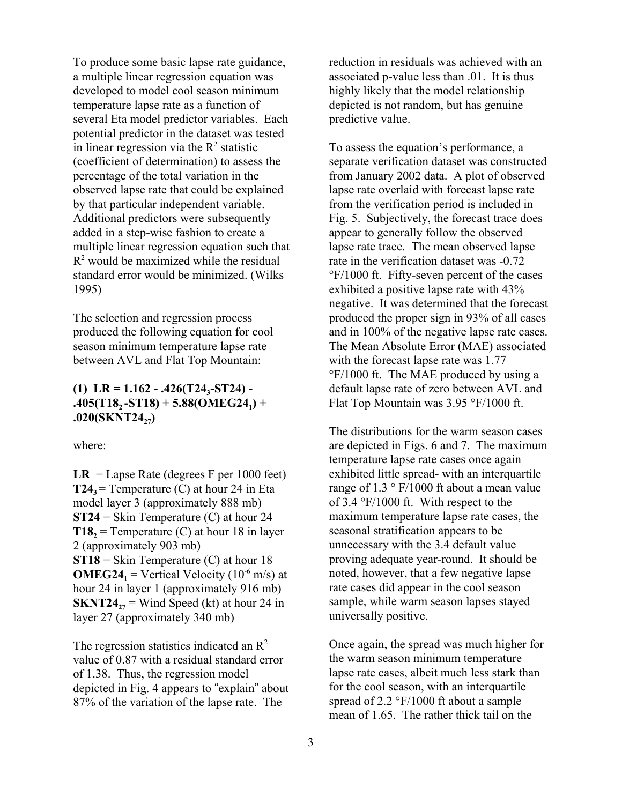To produce some basic lapse rate guidance, a multiple linear regression equation was developed to model cool season minimum temperature lapse rate as a function of several Eta model predictor variables. Each potential predictor in the dataset was tested in linear regression via the  $R^2$  statistic (coefficient of determination) to assess the percentage of the total variation in the observed lapse rate that could be explained by that particular independent variable. Additional predictors were subsequently added in a step-wise fashion to create a multiple linear regression equation such that  $R<sup>2</sup>$  would be maximized while the residual standard error would be minimized. (Wilks 1995)

The selection and regression process produced the following equation for cool season minimum temperature lapse rate between AVL and Flat Top Mountain:

#### (1) LR =  $1.162 - .426(T24,-ST24)$  - $.405(T18, -ST18) + 5.88(OMEG24_1) +$ .020(SKNT24<sub>27</sub>)

where:

 $LR = Lapse Rate$  (degrees F per 1000 feet) **T24**<sup> $\text{=}$ </sup> Temperature (C) at hour 24 in Eta model layer 3 (approximately 888 mb) **ST24** = Skin Temperature (C) at hour 24 **T18**<sup> $2$ </sup> = Temperature (C) at hour 18 in layer 2 (approximately 903 mb) **ST18** = Skin Temperature (C) at hour 18 **OMEG24**<sub>1</sub> = Vertical Velocity (10<sup>-6</sup> m/s) at hour 24 in layer 1 (approximately 916 mb) **SKNT24** $_{27}$  = Wind Speed (kt) at hour 24 in layer 27 (approximately 340 mb)

The regression statistics indicated an  $\mathbb{R}^2$ value of 0.87 with a residual standard error of 1.38. Thus, the regression model depicted in Fig. 4 appears to "explain" about 87% of the variation of the lapse rate. The

reduction in residuals was achieved with an associated p-value less than .01. It is thus highly likely that the model relationship depicted is not random, but has genuine predictive value.

To assess the equation's performance, a separate verification dataset was constructed from January 2002 data. A plot of observed lapse rate overlaid with forecast lapse rate from the verification period is included in Fig. 5. Subjectively, the forecast trace does appear to generally follow the observed lapse rate trace. The mean observed lapse rate in the verification dataset was -0.72 °F/1000 ft. Fifty-seven percent of the cases exhibited a positive lapse rate with 43% negative. It was determined that the forecast produced the proper sign in 93% of all cases and in 100% of the negative lapse rate cases. The Mean Absolute Error (MAE) associated with the forecast lapse rate was 1.77 °F/1000 ft. The MAE produced by using a default lapse rate of zero between AVL and Flat Top Mountain was 3.95 °F/1000 ft.

The distributions for the warm season cases are depicted in Figs. 6 and 7. The maximum temperature lapse rate cases once again exhibited little spread- with an interquartile range of  $1.3 \degree$  F/1000 ft about a mean value of 3.4 °F/1000 ft. With respect to the maximum temperature lapse rate cases, the seasonal stratification appears to be unnecessary with the 3.4 default value proving adequate year-round. It should be noted, however, that a few negative lapse rate cases did appear in the cool season sample, while warm season lapses stayed universally positive.

Once again, the spread was much higher for the warm season minimum temperature lapse rate cases, albeit much less stark than for the cool season, with an interquartile spread of 2.2 °F/1000 ft about a sample mean of 1.65. The rather thick tail on the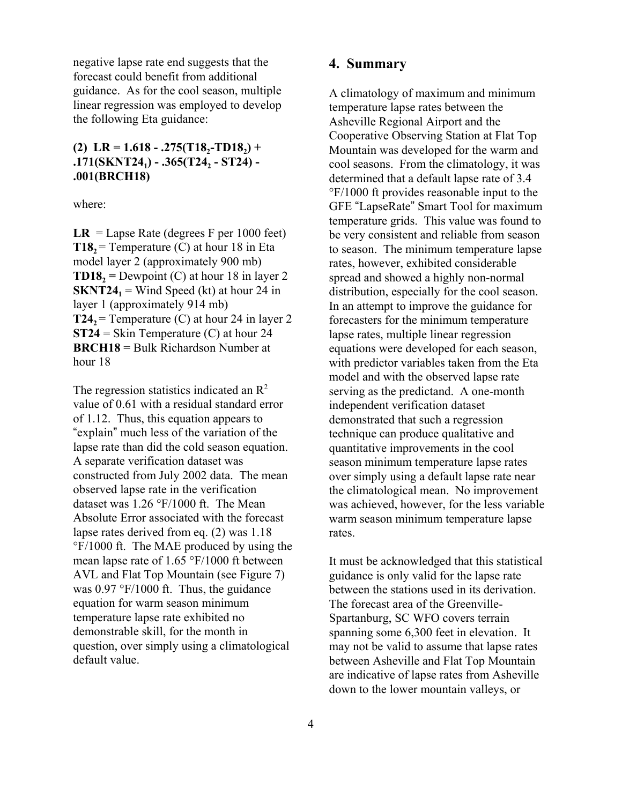negative lapse rate end suggests that the forecast could benefit from additional guidance. As for the cool season, multiple linear regression was employed to develop the following Eta guidance:

#### $(R)$  LR = 1.618 - .275(T18<sub>2</sub>-TD18<sub>2</sub>) + **.171(SKNT24<sub>1</sub>) - .365(T24<sub>2</sub> - ST24) -.001(BRCH18)**

where:

 $LR = Lapse Rate$  (degrees F per 1000 feet) **T18**<sup> $2$  = Temperature (C) at hour 18 in Eta</sup> model layer 2 (approximately 900 mb) **TD18**<sub>2</sub> = Dewpoint (C) at hour 18 in layer 2 **SKNT24**<sub>1</sub> = Wind Speed (kt) at hour 24 in layer 1 (approximately 914 mb) **T24**, = Temperature (C) at hour 24 in layer 2 **ST24** = Skin Temperature (C) at hour 24 **BRCH18** = Bulk Richardson Number at hour 18

The regression statistics indicated an  $\mathbb{R}^2$ value of 0.61 with a residual standard error of 1.12. Thus, this equation appears to "explain" much less of the variation of the lapse rate than did the cold season equation. A separate verification dataset was constructed from July 2002 data. The mean observed lapse rate in the verification dataset was 1.26 °F/1000 ft. The Mean Absolute Error associated with the forecast lapse rates derived from eq. (2) was 1.18 °F/1000 ft. The MAE produced by using the mean lapse rate of 1.65 °F/1000 ft between AVL and Flat Top Mountain (see Figure 7) was  $0.97 \text{ }^{\circ}\text{F}/1000 \text{ ft}$ . Thus, the guidance equation for warm season minimum temperature lapse rate exhibited no demonstrable skill, for the month in question, over simply using a climatological default value.

#### **4. Summary**

A climatology of maximum and minimum temperature lapse rates between the Asheville Regional Airport and the Cooperative Observing Station at Flat Top Mountain was developed for the warm and cool seasons. From the climatology, it was determined that a default lapse rate of 3.4 °F/1000 ft provides reasonable input to the GFE "LapseRate" Smart Tool for maximum temperature grids. This value was found to be very consistent and reliable from season to season. The minimum temperature lapse rates, however, exhibited considerable spread and showed a highly non-normal distribution, especially for the cool season. In an attempt to improve the guidance for forecasters for the minimum temperature lapse rates, multiple linear regression equations were developed for each season, with predictor variables taken from the Eta model and with the observed lapse rate serving as the predictand. A one-month independent verification dataset demonstrated that such a regression technique can produce qualitative and quantitative improvements in the cool season minimum temperature lapse rates over simply using a default lapse rate near the climatological mean. No improvement was achieved, however, for the less variable warm season minimum temperature lapse rates.

It must be acknowledged that this statistical guidance is only valid for the lapse rate between the stations used in its derivation. The forecast area of the Greenville-Spartanburg, SC WFO covers terrain spanning some 6,300 feet in elevation. It may not be valid to assume that lapse rates between Asheville and Flat Top Mountain are indicative of lapse rates from Asheville down to the lower mountain valleys, or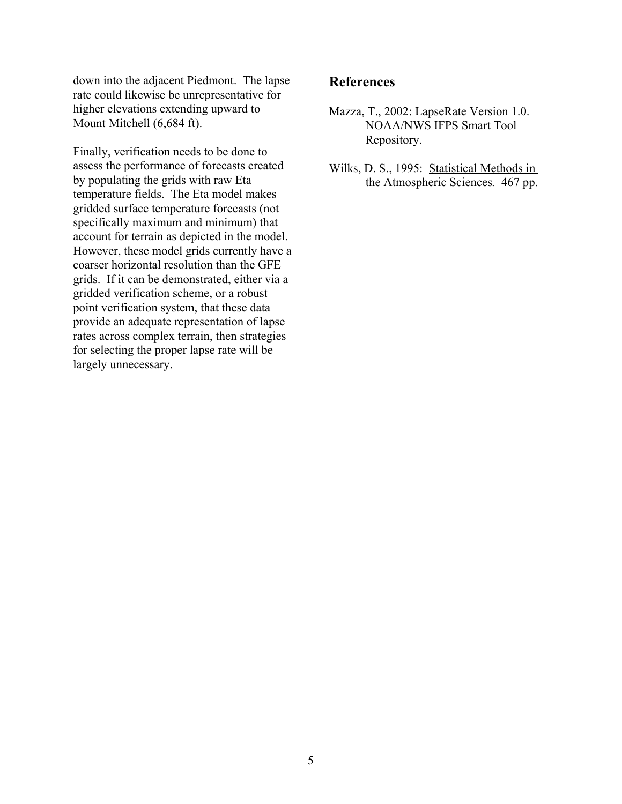down into the adjacent Piedmont. The lapse rate could likewise be unrepresentative for higher elevations extending upward to Mount Mitchell (6,684 ft).

Finally, verification needs to be done to assess the performance of forecasts created by populating the grids with raw Eta temperature fields. The Eta model makes gridded surface temperature forecasts (not specifically maximum and minimum) that account for terrain as depicted in the model. However, these model grids currently have a coarser horizontal resolution than the GFE grids. If it can be demonstrated, either via a gridded verification scheme, or a robust point verification system, that these data provide an adequate representation of lapse rates across complex terrain, then strategies for selecting the proper lapse rate will be largely unnecessary.

## **References**

- Mazza, T., 2002: LapseRate Version 1.0. NOAA/NWS IFPS Smart Tool Repository.
- Wilks, D. S., 1995: Statistical Methods in the Atmospheric Sciences*.* 467 pp.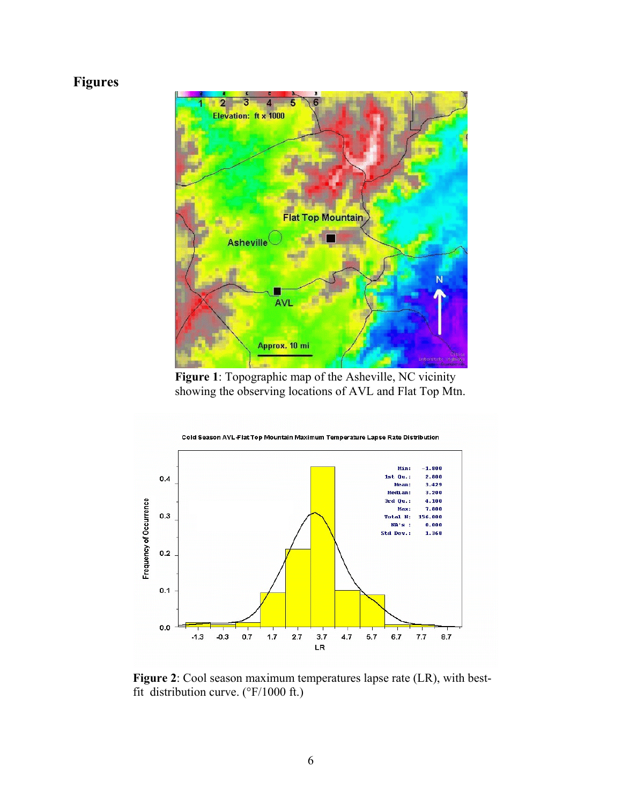## **Figures**



**Figure 1**: Topographic map of the Asheville, NC vicinity showing the observing locations of AVL and Flat Top Mtn.



**Figure 2**: Cool season maximum temperatures lapse rate (LR), with bestfit distribution curve. (°F/1000 ft.)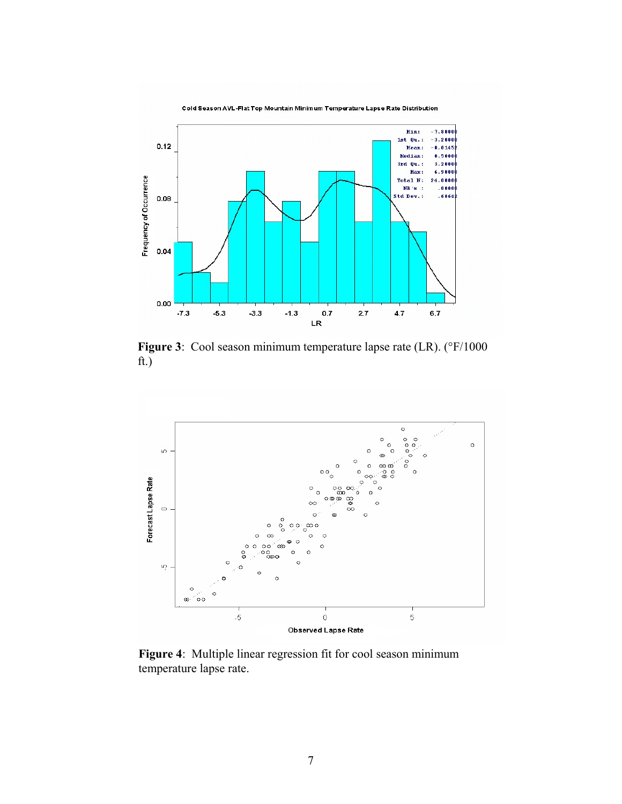

Figure 3: Cool season minimum temperature lapse rate (LR). (°F/1000 ft.)



**Figure 4**: Multiple linear regression fit for cool season minimum temperature lapse rate.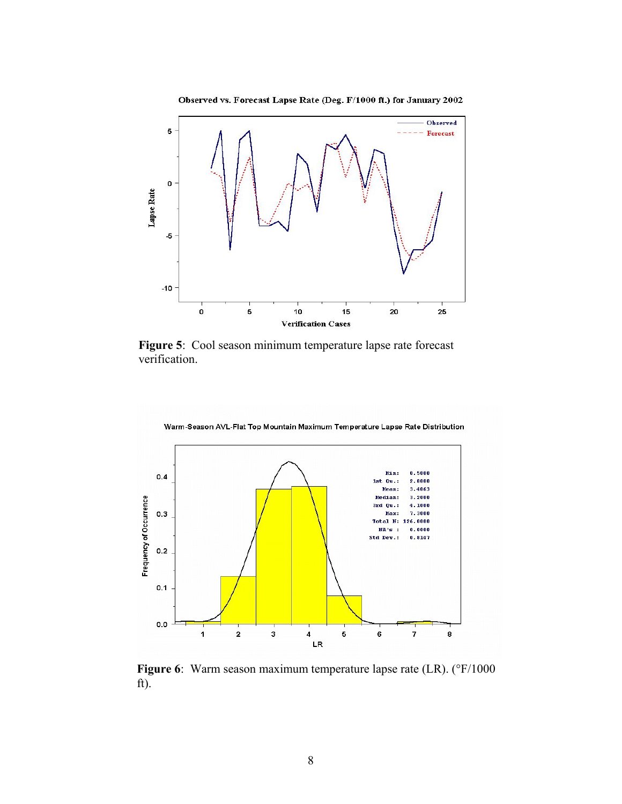



**Figure 5**: Cool season minimum temperature lapse rate forecast verification.



**Figure 6**: Warm season maximum temperature lapse rate (LR). (°F/1000 ft).